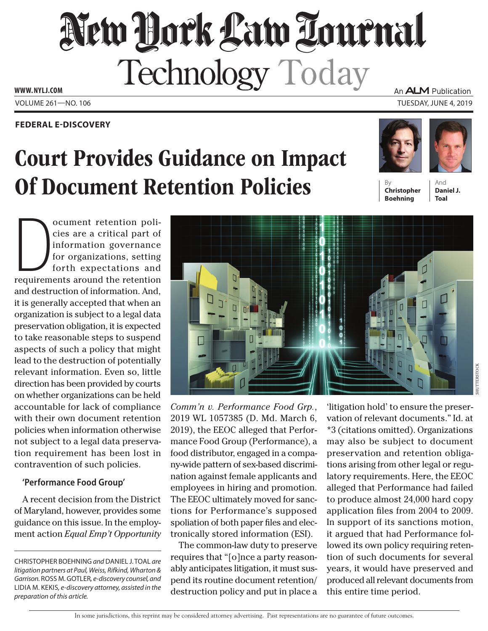# New Hock Law Lournal Technology Today

**www. NYLJ.com**

## **Federal E-Discovery**

# Court Provides Guidance on Impact **Of Document Retention Policies**

An **ALM** Publication

Volume 261—NO. 106 Tuesday, June 4, 2019



**Christopher Boehning**

And **Daniel J. Toal**

ocument retention policies are a critical part of<br>information governance<br>for organizations, setting<br>forth expectations and<br>requirements around the retention ocument retention policies are a critical part of information governance for organizations, setting forth expectations and and destruction of information. And, it is generally accepted that when an organization is subject to a legal data preservation obligation, it is expected to take reasonable steps to suspend aspects of such a policy that might lead to the destruction of potentially relevant information. Even so, little direction has been provided by courts on whether organizations can be held accountable for lack of compliance with their own document retention policies when information otherwise not subject to a legal data preservation requirement has been lost in contravention of such policies.

## **'Performance Food Group'**

A recent decision from the District of Maryland, however, provides some guidance on this issue. In the employment action *Equal Emp't Opportunity* 



*Comm'n v. Performance Food Grp.*, 2019 WL 1057385 (D. Md. March 6, 2019), the EEOC alleged that Performance Food Group (Performance), a food distributor, engaged in a company-wide pattern of sex-based discrimination against female applicants and employees in hiring and promotion. The EEOC ultimately moved for sanctions for Performance's supposed spoliation of both paper files and electronically stored information (ESI).

The common-law duty to preserve requires that "[o]nce a party reasonably anticipates litigation, it must suspend its routine document retention/ destruction policy and put in place a

'litigation hold' to ensure the preservation of relevant documents." Id. at \*3 (citations omitted). Organizations may also be subject to document preservation and retention obligations arising from other legal or regulatory requirements. Here, the EEOC alleged that Performance had failed to produce almost 24,000 hard copy application files from 2004 to 2009. In support of its sanctions motion, it argued that had Performance followed its own policy requiring retention of such documents for several years, it would have preserved and produced all relevant documents from this entire time period.

In some jurisdictions, this reprint may be considered attorney advertising. Past representations are no guarantee of future outcomes.

Christopher Boehning *and* Daniel J. Toal *are litigation partners at Paul, Weiss, Rifkind, Wharton &*  Garrison. ROSS M. GOTLER, e-discovery counsel, and Lidia M. Kekis*, e-discovery attorney, assisted in the preparation of this article.*